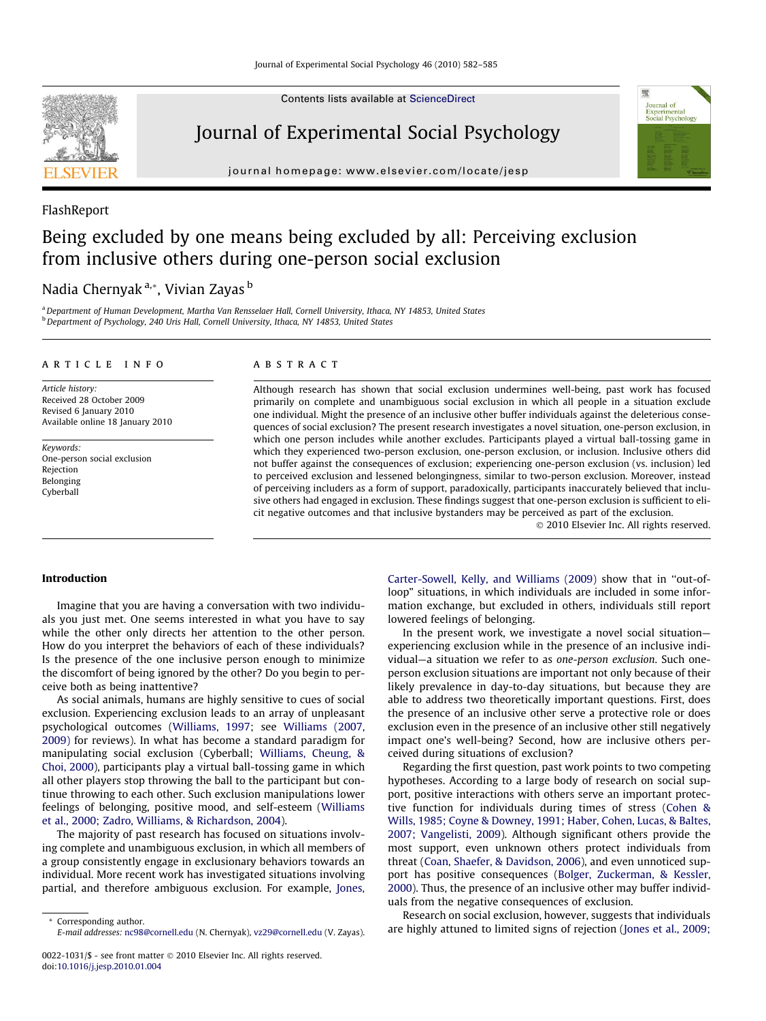Contents lists available at [ScienceDirect](http://www.sciencedirect.com/science/journal/00221031)



Journal of Experimental Social Psychology

journal homepage: [www.elsevier.com/locate/jesp](http://www.elsevier.com/locate/jesp)

### FlashReport

# Being excluded by one means being excluded by all: Perceiving exclusion from inclusive others during one-person social exclusion

## Nadia Chernyak<sup>a,\*</sup>, Vivian Zavas<sup>b</sup>

a Department of Human Development, Martha Van Rensselaer Hall, Cornell University, Ithaca, NY 14853, United States <sup>b</sup> Department of Psychology, 240 Uris Hall, Cornell University, Ithaca, NY 14853, United States

#### article info

Article history: Received 28 October 2009 Revised 6 January 2010 Available online 18 January 2010

Keywords: One-person social exclusion Rejection Belonging Cyberball

#### ABSTRACT

Although research has shown that social exclusion undermines well-being, past work has focused primarily on complete and unambiguous social exclusion in which all people in a situation exclude one individual. Might the presence of an inclusive other buffer individuals against the deleterious consequences of social exclusion? The present research investigates a novel situation, one-person exclusion, in which one person includes while another excludes. Participants played a virtual ball-tossing game in which they experienced two-person exclusion, one-person exclusion, or inclusion. Inclusive others did not buffer against the consequences of exclusion; experiencing one-person exclusion (vs. inclusion) led to perceived exclusion and lessened belongingness, similar to two-person exclusion. Moreover, instead of perceiving includers as a form of support, paradoxically, participants inaccurately believed that inclusive others had engaged in exclusion. These findings suggest that one-person exclusion is sufficient to elicit negative outcomes and that inclusive bystanders may be perceived as part of the exclusion.

© 2010 Elsevier Inc. All rights reserved.

度 Journal of Experimental<br>Social Psychology

### Introduction

Imagine that you are having a conversation with two individuals you just met. One seems interested in what you have to say while the other only directs her attention to the other person. How do you interpret the behaviors of each of these individuals? Is the presence of the one inclusive person enough to minimize the discomfort of being ignored by the other? Do you begin to perceive both as being inattentive?

As social animals, humans are highly sensitive to cues of social exclusion. Experiencing exclusion leads to an array of unpleasant psychological outcomes [\(Williams, 1997;](#page-3-0) see [Williams \(2007,](#page-3-0) [2009\)](#page-3-0) for reviews). In what has become a standard paradigm for manipulating social exclusion (Cyberball; [Williams, Cheung, &](#page-3-0) [Choi, 2000\)](#page-3-0), participants play a virtual ball-tossing game in which all other players stop throwing the ball to the participant but continue throwing to each other. Such exclusion manipulations lower feelings of belonging, positive mood, and self-esteem ([Williams](#page-3-0) [et al., 2000; Zadro, Williams, & Richardson, 2004](#page-3-0)).

The majority of past research has focused on situations involving complete and unambiguous exclusion, in which all members of a group consistently engage in exclusionary behaviors towards an individual. More recent work has investigated situations involving partial, and therefore ambiguous exclusion. For example, [Jones,](#page-3-0)

\* Corresponding author. E-mail addresses: [nc98@cornell.edu](mailto:nc98@cornell.edu) (N. Chernyak), [vz29@cornell.edu](mailto:vz29@cornell.edu) (V. Zayas). [Carter-Sowell, Kelly, and Williams \(2009\)](#page-3-0) show that in ''out-ofloop" situations, in which individuals are included in some information exchange, but excluded in others, individuals still report lowered feelings of belonging.

In the present work, we investigate a novel social situation experiencing exclusion while in the presence of an inclusive individual—a situation we refer to as one-person exclusion. Such oneperson exclusion situations are important not only because of their likely prevalence in day-to-day situations, but because they are able to address two theoretically important questions. First, does the presence of an inclusive other serve a protective role or does exclusion even in the presence of an inclusive other still negatively impact one's well-being? Second, how are inclusive others perceived during situations of exclusion?

Regarding the first question, past work points to two competing hypotheses. According to a large body of research on social support, positive interactions with others serve an important protective function for individuals during times of stress [\(Cohen &](#page-3-0) [Wills, 1985; Coyne & Downey, 1991; Haber, Cohen, Lucas, & Baltes,](#page-3-0) [2007; Vangelisti, 2009](#page-3-0)). Although significant others provide the most support, even unknown others protect individuals from threat [\(Coan, Shaefer, & Davidson, 2006\)](#page-3-0), and even unnoticed support has positive consequences [\(Bolger, Zuckerman, & Kessler,](#page-3-0) [2000](#page-3-0)). Thus, the presence of an inclusive other may buffer individuals from the negative consequences of exclusion.

Research on social exclusion, however, suggests that individuals are highly attuned to limited signs of rejection [\(Jones et al., 2009;](#page-3-0)

<sup>0022-1031/\$ -</sup> see front matter © 2010 Elsevier Inc. All rights reserved. doi:[10.1016/j.jesp.2010.01.004](http://dx.doi.org/10.1016/j.jesp.2010.01.004)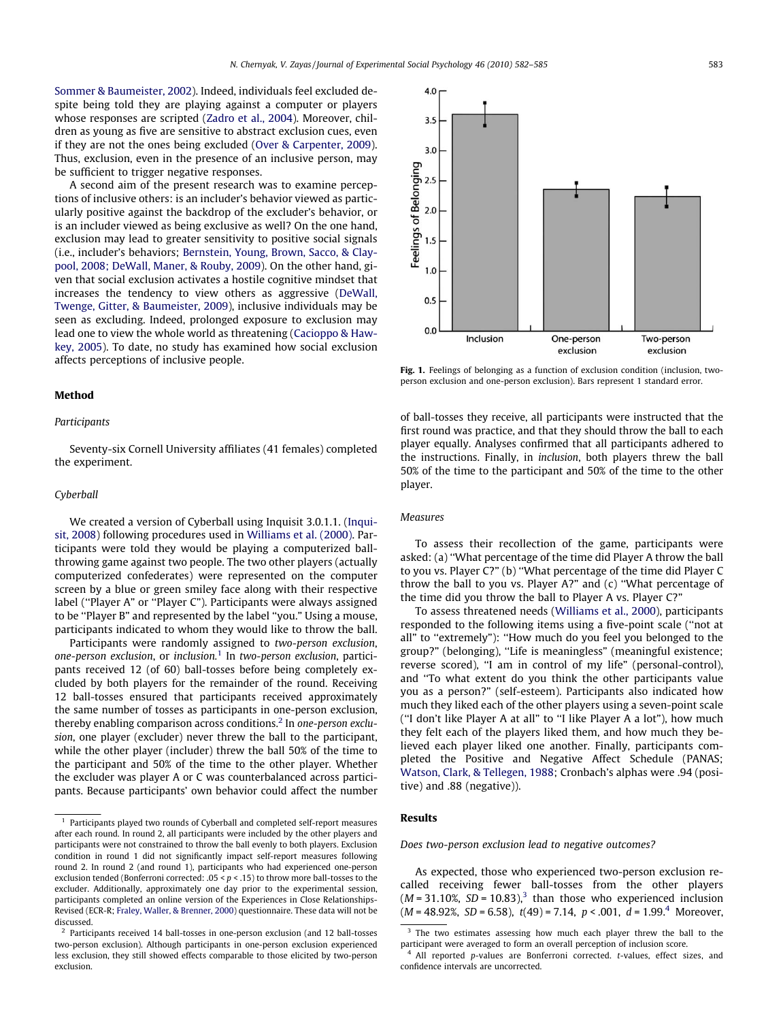<span id="page-1-0"></span>[Sommer & Baumeister, 2002](#page-3-0)). Indeed, individuals feel excluded despite being told they are playing against a computer or players whose responses are scripted ([Zadro et al., 2004\)](#page-3-0). Moreover, children as young as five are sensitive to abstract exclusion cues, even if they are not the ones being excluded ([Over & Carpenter, 2009\)](#page-3-0). Thus, exclusion, even in the presence of an inclusive person, may be sufficient to trigger negative responses.

A second aim of the present research was to examine perceptions of inclusive others: is an includer's behavior viewed as particularly positive against the backdrop of the excluder's behavior, or is an includer viewed as being exclusive as well? On the one hand, exclusion may lead to greater sensitivity to positive social signals (i.e., includer's behaviors; [Bernstein, Young, Brown, Sacco, & Clay](#page-3-0)[pool, 2008; DeWall, Maner, & Rouby, 2009\)](#page-3-0). On the other hand, given that social exclusion activates a hostile cognitive mindset that increases the tendency to view others as aggressive ([DeWall,](#page-3-0) [Twenge, Gitter, & Baumeister, 2009](#page-3-0)), inclusive individuals may be seen as excluding. Indeed, prolonged exposure to exclusion may lead one to view the whole world as threatening ([Cacioppo & Haw](#page-3-0)[key, 2005\)](#page-3-0). To date, no study has examined how social exclusion affects perceptions of inclusive people.

#### Method

#### Participants

Seventy-six Cornell University affiliates (41 females) completed the experiment.

#### Cyberball

We created a version of Cyberball using Inquisit 3.0.1.1. ([Inqui](#page-3-0)[sit, 2008\)](#page-3-0) following procedures used in [Williams et al. \(2000\).](#page-3-0) Participants were told they would be playing a computerized ballthrowing game against two people. The two other players (actually computerized confederates) were represented on the computer screen by a blue or green smiley face along with their respective label (''Player A" or ''Player C"). Participants were always assigned to be ''Player B" and represented by the label ''you." Using a mouse, participants indicated to whom they would like to throw the ball.

Participants were randomly assigned to two-person exclusion, one-person exclusion, or inclusion.<sup>1</sup> In two-person exclusion, participants received 12 (of 60) ball-tosses before being completely excluded by both players for the remainder of the round. Receiving 12 ball-tosses ensured that participants received approximately the same number of tosses as participants in one-person exclusion, thereby enabling comparison across conditions.<sup>2</sup> In one-person exclusion, one player (excluder) never threw the ball to the participant, while the other player (includer) threw the ball 50% of the time to the participant and 50% of the time to the other player. Whether the excluder was player A or C was counterbalanced across participants. Because participants' own behavior could affect the number



Fig. 1. Feelings of belonging as a function of exclusion condition (inclusion, twoperson exclusion and one-person exclusion). Bars represent 1 standard error.

of ball-tosses they receive, all participants were instructed that the first round was practice, and that they should throw the ball to each player equally. Analyses confirmed that all participants adhered to the instructions. Finally, in inclusion, both players threw the ball 50% of the time to the participant and 50% of the time to the other player.

#### Measures

To assess their recollection of the game, participants were asked: (a) ''What percentage of the time did Player A throw the ball to you vs. Player C?" (b) ''What percentage of the time did Player C throw the ball to you vs. Player A?" and (c) ''What percentage of the time did you throw the ball to Player A vs. Player C?"

To assess threatened needs ([Williams et al., 2000](#page-3-0)), participants responded to the following items using a five-point scale (''not at all" to "extremely"): "How much do you feel you belonged to the group?" (belonging), ''Life is meaningless" (meaningful existence; reverse scored), ''I am in control of my life" (personal-control), and ''To what extent do you think the other participants value you as a person?" (self-esteem). Participants also indicated how much they liked each of the other players using a seven-point scale (''I don't like Player A at all" to ''I like Player A a lot"), how much they felt each of the players liked them, and how much they believed each player liked one another. Finally, participants completed the Positive and Negative Affect Schedule (PANAS; [Watson, Clark, & Tellegen, 1988;](#page-3-0) Cronbach's alphas were .94 (positive) and .88 (negative)).

#### Results

#### Does two-person exclusion lead to negative outcomes?

As expected, those who experienced two-person exclusion recalled receiving fewer ball-tosses from the other players  $(M = 31.10\%$ , SD = 10.83),<sup>3</sup> than those who experienced inclusion  $(M = 48.92\%, SD = 6.58), t(49) = 7.14, p < .001, d = 1.99<sup>4</sup>$  Moreover,

<sup>&</sup>lt;sup>1</sup> Participants played two rounds of Cyberball and completed self-report measures after each round. In round 2, all participants were included by the other players and participants were not constrained to throw the ball evenly to both players. Exclusion condition in round 1 did not significantly impact self-report measures following round 2. In round 2 (and round 1), participants who had experienced one-person exclusion tended (Bonferroni corrected: .05 <  $p$  < .15) to throw more ball-tosses to the excluder. Additionally, approximately one day prior to the experimental session, participants completed an online version of the Experiences in Close Relationships-Revised (ECR-R; [Fraley, Waller, & Brenner, 2000\)](#page-3-0) questionnaire. These data will not be discussed.

 $2$  Participants received 14 ball-tosses in one-person exclusion (and 12 ball-tosses two-person exclusion). Although participants in one-person exclusion experienced less exclusion, they still showed effects comparable to those elicited by two-person exclusion.

The two estimates assessing how much each player threw the ball to the participant were averaged to form an overall perception of inclusion score.

<sup>&</sup>lt;sup>4</sup> All reported p-values are Bonferroni corrected. t-values, effect sizes, and confidence intervals are uncorrected.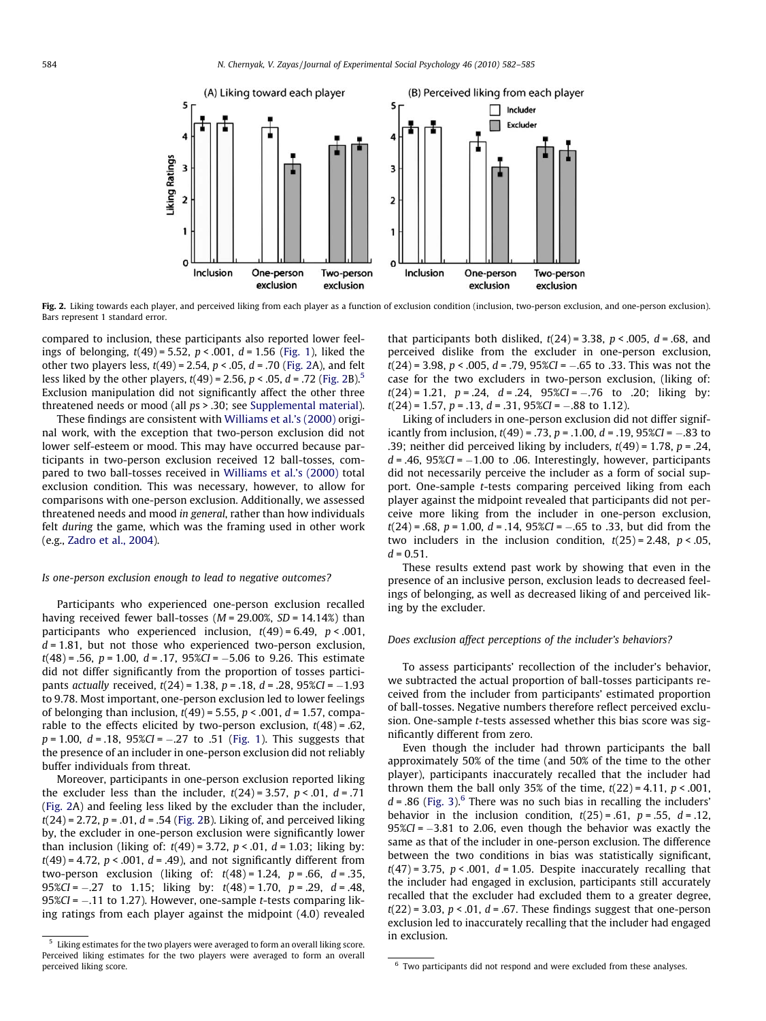

Fig. 2. Liking towards each player, and perceived liking from each player as a function of exclusion condition (inclusion, two-person exclusion, and one-person exclusion). Bars represent 1 standard error.

compared to inclusion, these participants also reported lower feelings of belonging,  $t(49) = 5.52$ ,  $p < .001$ ,  $d = 1.56$  ([Fig. 1\)](#page-1-0), liked the other two players less,  $t(49) = 2.54$ ,  $p < .05$ ,  $d = .70$  (Fig. 2A), and felt less liked by the other players,  $t(49) = 2.56$ ,  $p < .05$ ,  $d = .72$  (Fig. 2B).<sup>5</sup> Exclusion manipulation did not significantly affect the other three threatened needs or mood (all ps > .30; see Supplemental material).

These findings are consistent with [Williams et al.'s \(2000\)](#page-3-0) original work, with the exception that two-person exclusion did not lower self-esteem or mood. This may have occurred because participants in two-person exclusion received 12 ball-tosses, compared to two ball-tosses received in [Williams et al.'s \(2000\)](#page-3-0) total exclusion condition. This was necessary, however, to allow for comparisons with one-person exclusion. Additionally, we assessed threatened needs and mood in general, rather than how individuals felt during the game, which was the framing used in other work (e.g., [Zadro et al., 2004](#page-3-0)).

#### Is one-person exclusion enough to lead to negative outcomes?

Participants who experienced one-person exclusion recalled having received fewer ball-tosses ( $M = 29.00\%$ ,  $SD = 14.14\%$ ) than participants who experienced inclusion,  $t(49) = 6.49$ ,  $p < .001$ ,  $d = 1.81$ , but not those who experienced two-person exclusion, t(48) = .56,  $p$  = 1.00,  $d$  = .17, 95%CI =  $-5.06$  to 9.26. This estimate did not differ significantly from the proportion of tosses participants *actually* received,  $t(24)$  = 1.38,  $p$  = .18,  $d$  = .28, 95%CI =  $-1.93$ to 9.78. Most important, one-person exclusion led to lower feelings of belonging than inclusion,  $t(49) = 5.55$ ,  $p < .001$ ,  $d = 1.57$ , comparable to the effects elicited by two-person exclusion,  $t(48) = .62$ ,  $p = 1.00, d = .18, 95\%CI = -.27$  to  $.51$  [\(Fig. 1](#page-1-0)). This suggests that the presence of an includer in one-person exclusion did not reliably buffer individuals from threat.

Moreover, participants in one-person exclusion reported liking the excluder less than the includer,  $t(24) = 3.57$ ,  $p < .01$ ,  $d = .71$ (Fig. 2A) and feeling less liked by the excluder than the includer,  $t(24) = 2.72$ ,  $p = .01$ ,  $d = .54$  (Fig. 2B). Liking of, and perceived liking by, the excluder in one-person exclusion were significantly lower than inclusion (liking of:  $t(49) = 3.72$ ,  $p < .01$ ,  $d = 1.03$ ; liking by:  $t(49) = 4.72$ ,  $p < .001$ ,  $d = .49$ ), and not significantly different from two-person exclusion (liking of:  $t(48) = 1.24$ ,  $p = .66$ ,  $d = .35$ , 95%CI =  $-.27$  to 1.15; liking by:  $t(48) = 1.70$ ,  $p = .29$ ,  $d = .48$ , 95%CI = -.11 to 1.27). However, one-sample t-tests comparing liking ratings from each player against the midpoint (4.0) revealed

that participants both disliked,  $t(24) = 3.38$ ,  $p < .005$ ,  $d = .68$ , and perceived dislike from the excluder in one-person exclusion,  $t(24)$  = 3.98,  $p < .005$ ,  $d = .79$ ,  $95\%CI = -.65$  to .33. This was not the case for the two excluders in two-person exclusion, (liking of:  $t(24) = 1.21$ ,  $p = .24$ ,  $d = .24$ ,  $95\%CI = -.76$  to .20; liking by:  $t(24) = 1.57$ ,  $p = .13$ ,  $d = .31$ ,  $95\%CI = -.88$  to 1.12).

Liking of includers in one-person exclusion did not differ significantly from inclusion,  $t(49)$  = .73,  $p$  = .1.00,  $d$  = .19, 95%CI =  $-.83$  to .39; neither did perceived liking by includers,  $t(49) = 1.78$ ,  $p = .24$ ,  $d = .46$ ,  $95\%CI = -1.00$  to  $.06$ . Interestingly, however, participants did not necessarily perceive the includer as a form of social support. One-sample t-tests comparing perceived liking from each player against the midpoint revealed that participants did not perceive more liking from the includer in one-person exclusion,  $t(24) = .68$ ,  $p = 1.00$ ,  $d = .14$ ,  $95\%CI = -.65$  to .33, but did from the two includers in the inclusion condition,  $t(25) = 2.48$ ,  $p < .05$ ,  $d = 0.51$ .

These results extend past work by showing that even in the presence of an inclusive person, exclusion leads to decreased feelings of belonging, as well as decreased liking of and perceived liking by the excluder.

#### Does exclusion affect perceptions of the includer's behaviors?

To assess participants' recollection of the includer's behavior, we subtracted the actual proportion of ball-tosses participants received from the includer from participants' estimated proportion of ball-tosses. Negative numbers therefore reflect perceived exclusion. One-sample t-tests assessed whether this bias score was significantly different from zero.

Even though the includer had thrown participants the ball approximately 50% of the time (and 50% of the time to the other player), participants inaccurately recalled that the includer had thrown them the ball only 35% of the time,  $t(22) = 4.11$ ,  $p < .001$ ,  $d = 0.86$  [\(Fig. 3](#page-3-0)).<sup>6</sup> There was no such bias in recalling the includers' behavior in the inclusion condition,  $t(25) = .61$ ,  $p = .55$ ,  $d = .12$ ,  $95\%CI = -3.81$  to 2.06, even though the behavior was exactly the same as that of the includer in one-person exclusion. The difference between the two conditions in bias was statistically significant,  $t(47) = 3.75$ ,  $p < .001$ ,  $d = 1.05$ . Despite inaccurately recalling that the includer had engaged in exclusion, participants still accurately recalled that the excluder had excluded them to a greater degree,  $t(22) = 3.03$ ,  $p < .01$ ,  $d = .67$ . These findings suggest that one-person exclusion led to inaccurately recalling that the includer had engaged in exclusion.

 $^{\rm 5}$  Liking estimates for the two players were averaged to form an overall liking score. Perceived liking estimates for the two players were averaged to form an overall perceived liking score. The contract of the second and were excluded from these analyses.